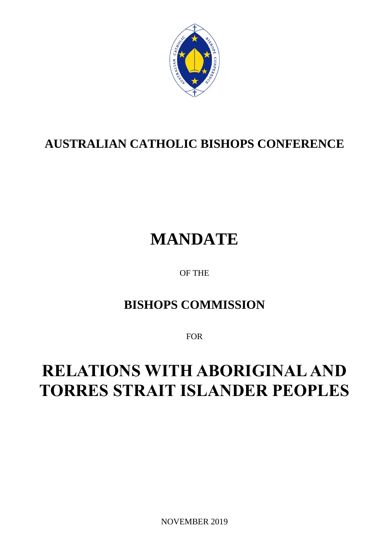

# **AUSTRALIAN CATHOLIC BISHOPS CONFERENCE**

# **MANDATE**

OF THE

## **BISHOPS COMMISSION**

FOR

# **RELATIONS WITH ABORIGINAL AND TORRES STRAIT ISLANDER PEOPLES**

NOVEMBER 2019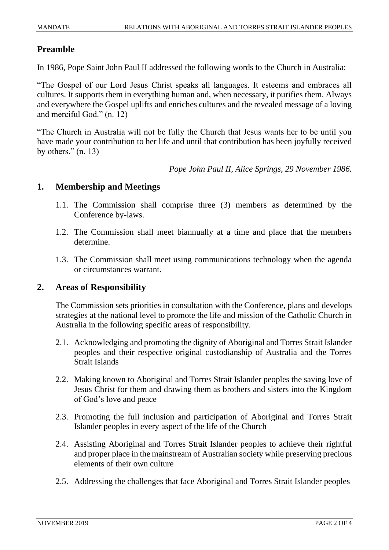#### **Preamble**

In 1986, Pope Saint John Paul II addressed the following words to the Church in Australia:

"The Gospel of our Lord Jesus Christ speaks all languages. It esteems and embraces all cultures. It supports them in everything human and, when necessary, it purifies them. Always and everywhere the Gospel uplifts and enriches cultures and the revealed message of a loving and merciful God." (n. 12)

"The Church in Australia will not be fully the Church that Jesus wants her to be until you have made your contribution to her life and until that contribution has been joyfully received by others."  $(n. 13)$ 

*Pope John Paul II, Alice Springs, 29 November 1986.*

#### **1. Membership and Meetings**

- 1.1. The Commission shall comprise three (3) members as determined by the Conference by-laws.
- 1.2. The Commission shall meet biannually at a time and place that the members determine.
- 1.3. The Commission shall meet using communications technology when the agenda or circumstances warrant.

#### **2. Areas of Responsibility**

The Commission sets priorities in consultation with the Conference, plans and develops strategies at the national level to promote the life and mission of the Catholic Church in Australia in the following specific areas of responsibility.

- 2.1. Acknowledging and promoting the dignity of Aboriginal and Torres Strait Islander peoples and their respective original custodianship of Australia and the Torres Strait Islands
- 2.2. Making known to Aboriginal and Torres Strait Islander peoples the saving love of Jesus Christ for them and drawing them as brothers and sisters into the Kingdom of God's love and peace
- 2.3. Promoting the full inclusion and participation of Aboriginal and Torres Strait Islander peoples in every aspect of the life of the Church
- 2.4. Assisting Aboriginal and Torres Strait Islander peoples to achieve their rightful and proper place in the mainstream of Australian society while preserving precious elements of their own culture
- 2.5. Addressing the challenges that face Aboriginal and Torres Strait Islander peoples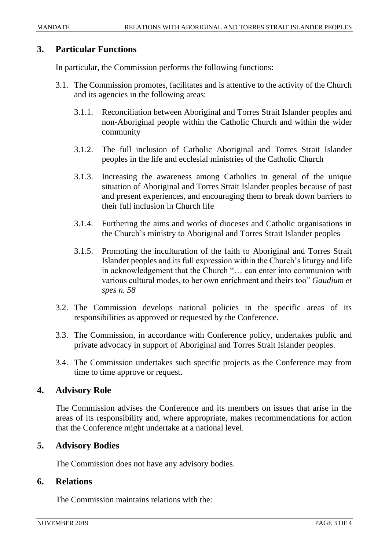#### **3. Particular Functions**

In particular, the Commission performs the following functions:

- 3.1. The Commission promotes, facilitates and is attentive to the activity of the Church and its agencies in the following areas:
	- 3.1.1. Reconciliation between Aboriginal and Torres Strait Islander peoples and non-Aboriginal people within the Catholic Church and within the wider community
	- 3.1.2. The full inclusion of Catholic Aboriginal and Torres Strait Islander peoples in the life and ecclesial ministries of the Catholic Church
	- 3.1.3. Increasing the awareness among Catholics in general of the unique situation of Aboriginal and Torres Strait Islander peoples because of past and present experiences, and encouraging them to break down barriers to their full inclusion in Church life
	- 3.1.4. Furthering the aims and works of dioceses and Catholic organisations in the Church's ministry to Aboriginal and Torres Strait Islander peoples
	- 3.1.5. Promoting the inculturation of the faith to Aboriginal and Torres Strait Islander peoples and its full expression within the Church's liturgy and life in acknowledgement that the Church "… can enter into communion with various cultural modes, to her own enrichment and theirs too" *Gaudium et spes n. 58*
- 3.2. The Commission develops national policies in the specific areas of its responsibilities as approved or requested by the Conference.
- 3.3. The Commission, in accordance with Conference policy, undertakes public and private advocacy in support of Aboriginal and Torres Strait Islander peoples.
- 3.4. The Commission undertakes such specific projects as the Conference may from time to time approve or request.

#### **4. Advisory Role**

The Commission advises the Conference and its members on issues that arise in the areas of its responsibility and, where appropriate, makes recommendations for action that the Conference might undertake at a national level.

#### **5. Advisory Bodies**

The Commission does not have any advisory bodies.

#### **6. Relations**

The Commission maintains relations with the: